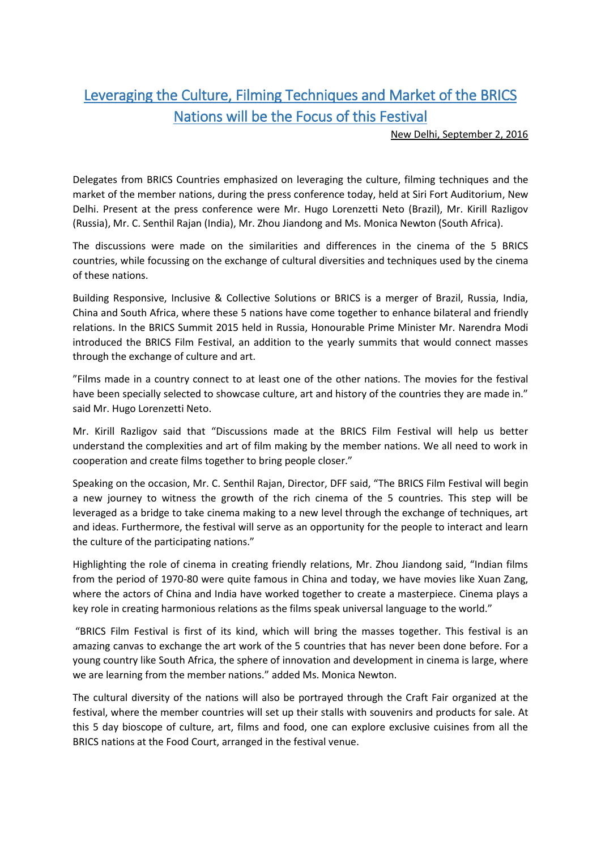## Leveraging the Culture, Filming Techniques and Market of the BRICS Nations will be the Focus of this Festival

New Delhi, September 2, 2016

Delegates from BRICS Countries emphasized on leveraging the culture, filming techniques and the market of the member nations, during the press conference today, held at Siri Fort Auditorium, New Delhi. Present at the press conference were Mr. Hugo Lorenzetti Neto (Brazil), Mr. Kirill Razligov (Russia), Mr. C. Senthil Rajan (India), Mr. Zhou Jiandong and Ms. Monica Newton (South Africa).

The discussions were made on the similarities and differences in the cinema of the 5 BRICS countries, while focussing on the exchange of cultural diversities and techniques used by the cinema of these nations.

Building Responsive, Inclusive & Collective Solutions or BRICS is a merger of Brazil, Russia, India, China and South Africa, where these 5 nations have come together to enhance bilateral and friendly relations. In the BRICS Summit 2015 held in Russia, Honourable Prime Minister Mr. Narendra Modi introduced the BRICS Film Festival, an addition to the yearly summits that would connect masses through the exchange of culture and art.

"Films made in a country connect to at least one of the other nations. The movies for the festival have been specially selected to showcase culture, art and history of the countries they are made in." said Mr. Hugo Lorenzetti Neto.

Mr. Kirill Razligov said that "Discussions made at the BRICS Film Festival will help us better understand the complexities and art of film making by the member nations. We all need to work in cooperation and create films together to bring people closer."

Speaking on the occasion, Mr. C. Senthil Rajan, Director, DFF said, "The BRICS Film Festival will begin a new journey to witness the growth of the rich cinema of the 5 countries. This step will be leveraged as a bridge to take cinema making to a new level through the exchange of techniques, art and ideas. Furthermore, the festival will serve as an opportunity for the people to interact and learn the culture of the participating nations."

Highlighting the role of cinema in creating friendly relations, Mr. Zhou Jiandong said, "Indian films from the period of 1970-80 were quite famous in China and today, we have movies like Xuan Zang, where the actors of China and India have worked together to create a masterpiece. Cinema plays a key role in creating harmonious relations as the films speak universal language to the world."

"BRICS Film Festival is first of its kind, which will bring the masses together. This festival is an amazing canvas to exchange the art work of the 5 countries that has never been done before. For a young country like South Africa, the sphere of innovation and development in cinema is large, where we are learning from the member nations." added Ms. Monica Newton.

The cultural diversity of the nations will also be portrayed through the Craft Fair organized at the festival, where the member countries will set up their stalls with souvenirs and products for sale. At this 5 day bioscope of culture, art, films and food, one can explore exclusive cuisines from all the BRICS nations at the Food Court, arranged in the festival venue.